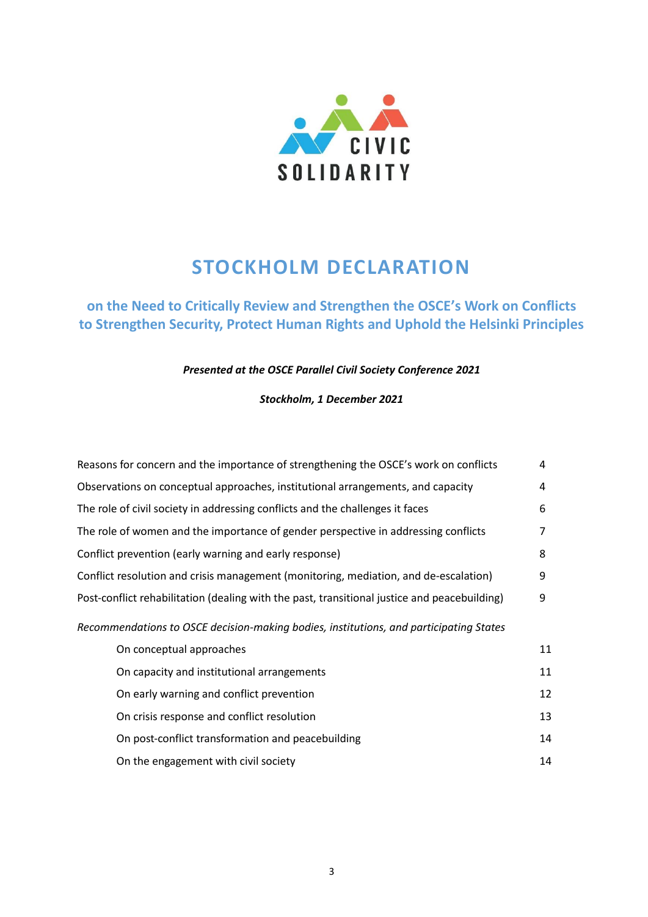

# **STOCKHOLM DECLARATION**

# **on the Need to Critically Review and Strengthen the OSCE's Work on Conflicts to Strengthen Security, Protect Human Rights and Uphold the Helsinki Principles**

# *Presented at the OSCE Parallel Civil Society Conference 2021*

# *Stockholm, 1 December 2021*

| Reasons for concern and the importance of strengthening the OSCE's work on conflicts         | 4  |
|----------------------------------------------------------------------------------------------|----|
| Observations on conceptual approaches, institutional arrangements, and capacity              | 4  |
| The role of civil society in addressing conflicts and the challenges it faces                | 6  |
| The role of women and the importance of gender perspective in addressing conflicts           | 7  |
| Conflict prevention (early warning and early response)                                       | 8  |
| Conflict resolution and crisis management (monitoring, mediation, and de-escalation)         | 9  |
| Post-conflict rehabilitation (dealing with the past, transitional justice and peacebuilding) | 9  |
| Recommendations to OSCE decision-making bodies, institutions, and participating States       |    |
| On conceptual approaches                                                                     | 11 |
| On capacity and institutional arrangements                                                   | 11 |
| On early warning and conflict prevention                                                     | 12 |
| On crisis response and conflict resolution                                                   | 13 |
| On post-conflict transformation and peacebuilding                                            | 14 |
| On the engagement with civil society                                                         | 14 |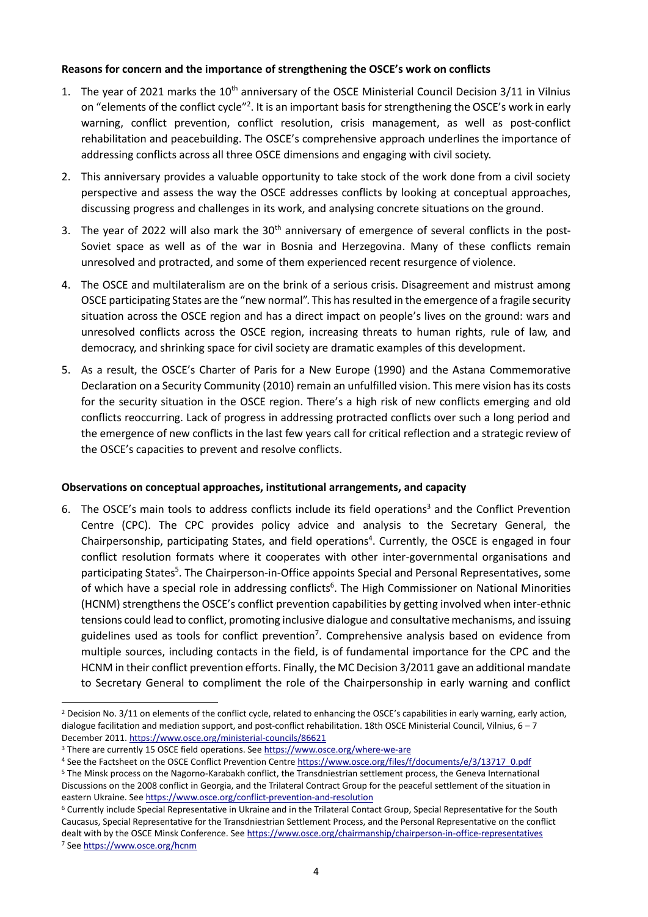#### **Reasons for concern and the importance of strengthening the OSCE's work on conflicts**

- 1. The year of 2021 marks the 10<sup>th</sup> anniversary of the OSCE Ministerial Council Decision 3/11 in Vilnius on "elements of the conflict cycle"<sup>2</sup>. It is an important basis for strengthening the OSCE's work in early warning, conflict prevention, conflict resolution, crisis management, as well as post-conflict rehabilitation and peacebuilding. The OSCE's comprehensive approach underlines the importance of addressing conflicts across all three OSCE dimensions and engaging with civil society.
- 2. This anniversary provides a valuable opportunity to take stock of the work done from a civil society perspective and assess the way the OSCE addresses conflicts by looking at conceptual approaches, discussing progress and challenges in its work, and analysing concrete situations on the ground.
- 3. The year of 2022 will also mark the 30<sup>th</sup> anniversary of emergence of several conflicts in the post-Soviet space as well as of the war in Bosnia and Herzegovina. Many of these conflicts remain unresolved and protracted, and some of them experienced recent resurgence of violence.
- 4. The OSCE and multilateralism are on the brink of a serious crisis. Disagreement and mistrust among OSCE participating States are the "new normal". This has resulted in the emergence of a fragile security situation across the OSCE region and has a direct impact on people's lives on the ground: wars and unresolved conflicts across the OSCE region, increasing threats to human rights, rule of law, and democracy, and shrinking space for civil society are dramatic examples of this development.
- 5. As a result, the OSCE's Charter of Paris for a New Europe (1990) and the Astana Commemorative Declaration on a Security Community (2010) remain an unfulfilled vision. This mere vision has its costs for the security situation in the OSCE region. There's a high risk of new conflicts emerging and old conflicts reoccurring. Lack of progress in addressing protracted conflicts over such a long period and the emergence of new conflicts in the last few years call for critical reflection and a strategic review of the OSCE's capacities to prevent and resolve conflicts.

# **Observations on conceptual approaches, institutional arrangements, and capacity**

6. The OSCE's main tools to address conflicts include its field operations<sup>3</sup> and the Conflict Prevention Centre (CPC). The CPC provides policy advice and analysis to the Secretary General, the Chairpersonship, participating States, and field operations<sup>4</sup>. Currently, the OSCE is engaged in four conflict resolution formats where it cooperates with other inter-governmental organisations and participating States<sup>5</sup>. The Chairperson-in-Office appoints Special and Personal Representatives, some of which have a special role in addressing conflicts<sup>6</sup>. The High Commissioner on National Minorities (HCNM) strengthens the OSCE's conflict prevention capabilities by getting involved when inter-ethnic tensions could lead to conflict, promoting inclusive dialogue and consultative mechanisms, and issuing guidelines used as tools for conflict prevention<sup>7</sup>. Comprehensive analysis based on evidence from multiple sources, including contacts in the field, is of fundamental importance for the CPC and the HCNM in their conflict prevention efforts. Finally, the MC Decision 3/2011 gave an additional mandate to Secretary General to compliment the role of the Chairpersonship in early warning and conflict

<sup>1</sup> <sup>2</sup> Decision No. 3/11 on elements of the conflict cycle, related to enhancing the OSCE's capabilities in early warning, early action, dialogue facilitation and mediation support, and post-conflict rehabilitation. 18th OSCE Ministerial Council, Vilnius, 6 – 7 December 2011. <https://www.osce.org/ministerial-councils/86621>

<sup>3</sup> There are currently 15 OSCE field operations. See<https://www.osce.org/where-we-are>

<sup>4</sup> See the Factsheet on the OSCE Conflict Prevention Centr[e https://www.osce.org/files/f/documents/e/3/13717\\_0.pdf](https://www.osce.org/files/f/documents/e/3/13717_0.pdf)

<sup>5</sup> The Minsk process on the Nagorno-Karabakh conflict, the Transdniestrian settlement process, the Geneva International Discussions on the 2008 conflict in Georgia, and the Trilateral Contract Group for the peaceful settlement of the situation in eastern Ukraine. See <https://www.osce.org/conflict-prevention-and-resolution>

<sup>6</sup> Currently include Special Representative in Ukraine and in the Trilateral Contact Group, Special Representative for the South Caucasus, Special Representative for the Transdniestrian Settlement Process, and the Personal Representative on the conflict dealt with by the OSCE Minsk Conference. Se[e https://www.osce.org/chairmanship/chairperson-in-office-representatives](https://www.osce.org/chairmanship/chairperson-in-office-representatives) <sup>7</sup> See<https://www.osce.org/hcnm>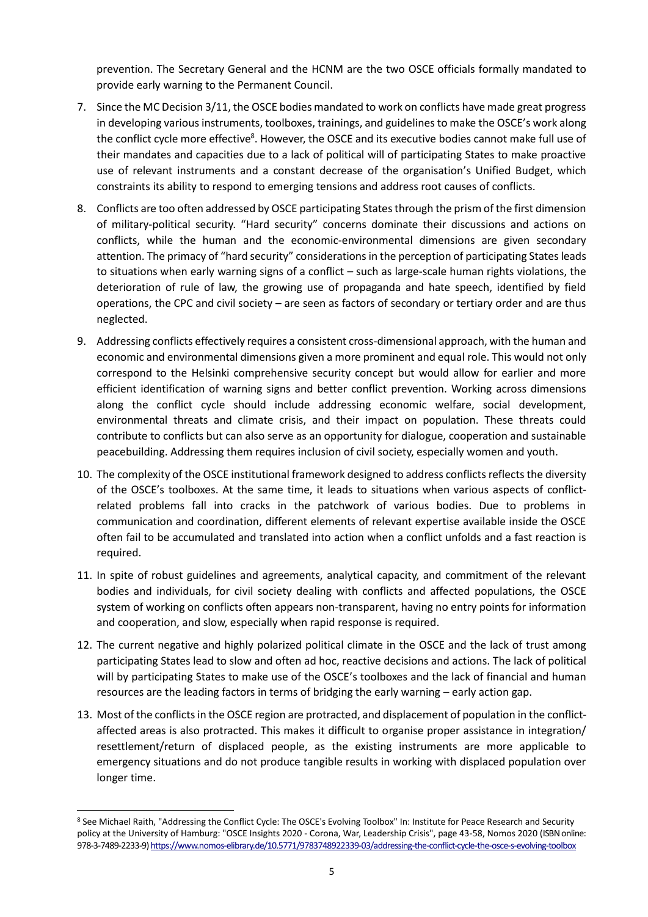prevention. The Secretary General and the HCNM are the two OSCE officials formally mandated to provide early warning to the Permanent Council.

- 7. Since the MC Decision 3/11, the OSCE bodies mandated to work on conflicts have made great progress in developing various instruments, toolboxes, trainings, and guidelines to make the OSCE's work along the conflict cycle more effective<sup>8</sup>. However, the OSCE and its executive bodies cannot make full use of their mandates and capacities due to a lack of political will of participating States to make proactive use of relevant instruments and a constant decrease of the organisation's Unified Budget, which constraints its ability to respond to emerging tensions and address root causes of conflicts.
- 8. Conflicts are too often addressed by OSCE participating States through the prism of the first dimension of military-political security. "Hard security" concerns dominate their discussions and actions on conflicts, while the human and the economic-environmental dimensions are given secondary attention. The primacy of "hard security" considerations in the perception of participating States leads to situations when early warning signs of a conflict – such as large-scale human rights violations, the deterioration of rule of law, the growing use of propaganda and hate speech, identified by field operations, the CPC and civil society – are seen as factors of secondary or tertiary order and are thus neglected.
- 9. Addressing conflicts effectively requires a consistent cross-dimensional approach, with the human and economic and environmental dimensions given a more prominent and equal role. This would not only correspond to the Helsinki comprehensive security concept but would allow for earlier and more efficient identification of warning signs and better conflict prevention. Working across dimensions along the conflict cycle should include addressing economic welfare, social development, environmental threats and climate crisis, and their impact on population. These threats could contribute to conflicts but can also serve as an opportunity for dialogue, cooperation and sustainable peacebuilding. Addressing them requires inclusion of civil society, especially women and youth.
- 10. The complexity of the OSCE institutional framework designed to address conflicts reflects the diversity of the OSCE's toolboxes. At the same time, it leads to situations when various aspects of conflictrelated problems fall into cracks in the patchwork of various bodies. Due to problems in communication and coordination, different elements of relevant expertise available inside the OSCE often fail to be accumulated and translated into action when a conflict unfolds and a fast reaction is required.
- 11. In spite of robust guidelines and agreements, analytical capacity, and commitment of the relevant bodies and individuals, for civil society dealing with conflicts and affected populations, the OSCE system of working on conflicts often appears non-transparent, having no entry points for information and cooperation, and slow, especially when rapid response is required.
- 12. The current negative and highly polarized political climate in the OSCE and the lack of trust among participating States lead to slow and often ad hoc, reactive decisions and actions. The lack of political will by participating States to make use of the OSCE's toolboxes and the lack of financial and human resources are the leading factors in terms of bridging the early warning – early action gap.
- 13. Most of the conflicts in the OSCE region are protracted, and displacement of population in the conflictaffected areas is also protracted. This makes it difficult to organise proper assistance in integration/ resettlement/return of displaced people, as the existing instruments are more applicable to emergency situations and do not produce tangible results in working with displaced population over longer time.

 $\overline{a}$ 

<sup>8</sup> See Michael Raith, "Addressing the Conflict Cycle: The OSCE's Evolving Toolbox" In: Institute for Peace Research and Security policy at the University of Hamburg: "OSCE Insights 2020 - Corona, War, Leadership Crisis", page 43-58, Nomos 2020 (ISBN online: 978-3-7489-2233-9[\) https://www.nomos-elibrary.de/10.5771/9783748922339-03/addressing-the-conflict-cycle-the-osce-s-evolving-toolbox](https://www.nomos-elibrary.de/10.5771/9783748922339-03/addressing-the-conflict-cycle-the-osce-s-evolving-toolbox)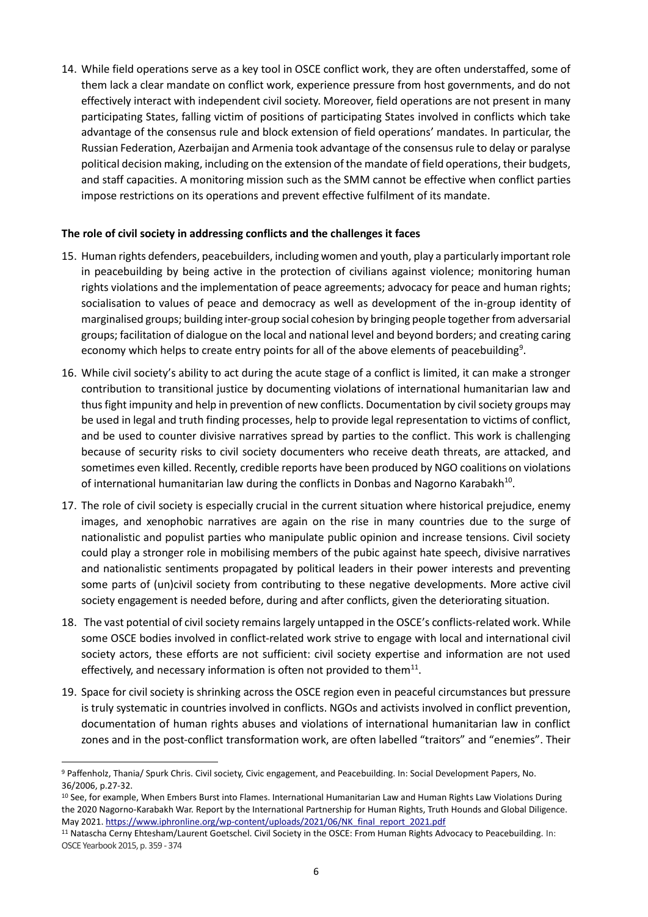14. While field operations serve as a key tool in OSCE conflict work, they are often understaffed, some of them lack a clear mandate on conflict work, experience pressure from host governments, and do not effectively interact with independent civil society. Moreover, field operations are not present in many participating States, falling victim of positions of participating States involved in conflicts which take advantage of the consensus rule and block extension of field operations' mandates. In particular, the Russian Federation, Azerbaijan and Armenia took advantage of the consensus rule to delay or paralyse political decision making, including on the extension of the mandate of field operations, their budgets, and staff capacities. A monitoring mission such as the SMM cannot be effective when conflict parties impose restrictions on its operations and prevent effective fulfilment of its mandate.

### **The role of civil society in addressing conflicts and the challenges it faces**

- 15. Human rights defenders, peacebuilders, including women and youth, play a particularly important role in peacebuilding by being active in the protection of civilians against violence; monitoring human rights violations and the implementation of peace agreements; advocacy for peace and human rights; socialisation to values of peace and democracy as well as development of the in-group identity of marginalised groups; building inter-group social cohesion by bringing people together from adversarial groups; facilitation of dialogue on the local and national level and beyond borders; and creating caring economy which helps to create entry points for all of the above elements of peacebuilding<sup>9</sup>.
- 16. While civil society's ability to act during the acute stage of a conflict is limited, it can make a stronger contribution to transitional justice by documenting violations of international humanitarian law and thus fight impunity and help in prevention of new conflicts. Documentation by civil society groups may be used in legal and truth finding processes, help to provide legal representation to victims of conflict, and be used to counter divisive narratives spread by parties to the conflict. This work is challenging because of security risks to civil society documenters who receive death threats, are attacked, and sometimes even killed. Recently, credible reports have been produced by NGO coalitions on violations of international humanitarian law during the conflicts in Donbas and Nagorno Karabakh<sup>10</sup>.
- 17. The role of civil society is especially crucial in the current situation where historical prejudice, enemy images, and xenophobic narratives are again on the rise in many countries due to the surge of nationalistic and populist parties who manipulate public opinion and increase tensions. Civil society could play a stronger role in mobilising members of the pubic against hate speech, divisive narratives and nationalistic sentiments propagated by political leaders in their power interests and preventing some parts of (un)civil society from contributing to these negative developments. More active civil society engagement is needed before, during and after conflicts, given the deteriorating situation.
- 18. The vast potential of civil society remains largely untapped in the OSCE's conflicts-related work. While some OSCE bodies involved in conflict-related work strive to engage with local and international civil society actors, these efforts are not sufficient: civil society expertise and information are not used effectively, and necessary information is often not provided to them $^{11}$ .
- 19. Space for civil society is shrinking across the OSCE region even in peaceful circumstances but pressure is truly systematic in countries involved in conflicts. NGOs and activists involved in conflict prevention, documentation of human rights abuses and violations of international humanitarian law in conflict zones and in the post-conflict transformation work, are often labelled "traitors" and "enemies". Their

<sup>1</sup> <sup>9</sup> Paffenholz, Thania/ Spurk Chris. Civil society, Civic engagement, and Peacebuilding. In: Social Development Papers, No. 36/2006, p.27-32.

<sup>&</sup>lt;sup>10</sup> See, for example, When Embers Burst into Flames. International Humanitarian Law and Human Rights Law Violations During the 2020 Nagorno-Karabakh War. Report by the International Partnership for Human Rights, Truth Hounds and Global Diligence. May 2021[. https://www.iphronline.org/wp-content/uploads/2021/06/NK\\_final\\_report\\_2021.pdf](https://www.iphronline.org/wp-content/uploads/2021/06/NK_final_report_2021.pdf)

<sup>11</sup> Natascha Cerny Ehtesham/Laurent Goetschel. Civil Society in the OSCE: From Human Rights Advocacy to Peacebuilding. In: OSCE Yearbook 2015, p. 359 - 374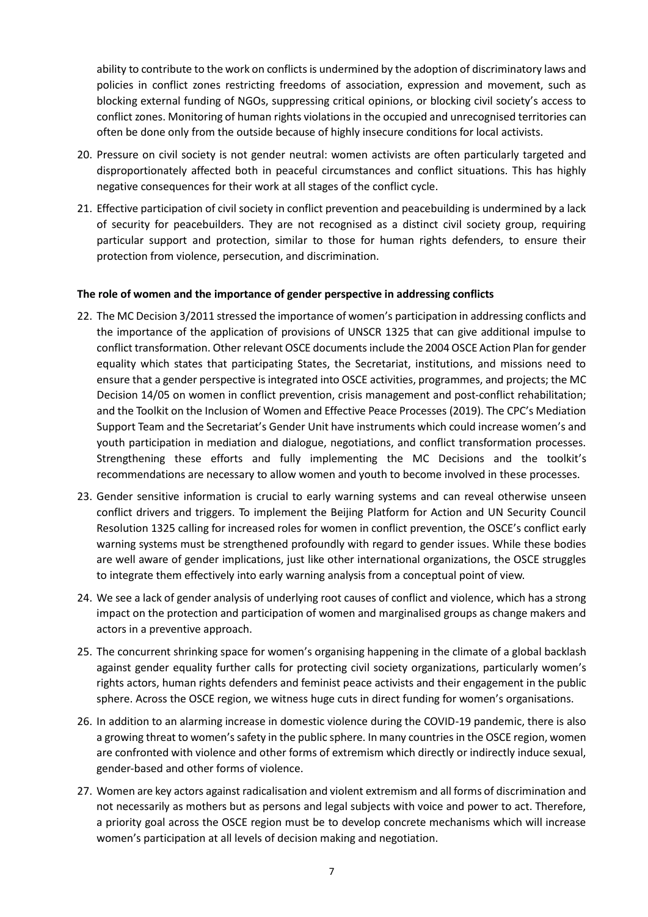ability to contribute to the work on conflicts is undermined by the adoption of discriminatory laws and policies in conflict zones restricting freedoms of association, expression and movement, such as blocking external funding of NGOs, suppressing critical opinions, or blocking civil society's access to conflict zones. Monitoring of human rights violations in the occupied and unrecognised territories can often be done only from the outside because of highly insecure conditions for local activists.

- 20. Pressure on civil society is not gender neutral: women activists are often particularly targeted and disproportionately affected both in peaceful circumstances and conflict situations. This has highly negative consequences for their work at all stages of the conflict cycle.
- 21. Effective participation of civil society in conflict prevention and peacebuilding is undermined by a lack of security for peacebuilders. They are not recognised as a distinct civil society group, requiring particular support and protection, similar to those for human rights defenders, to ensure their protection from violence, persecution, and discrimination.

#### **The role of women and the importance of gender perspective in addressing conflicts**

- 22. The MC Decision 3/2011 stressed the importance of women's participation in addressing conflicts and the importance of the application of provisions of UNSCR 1325 that can give additional impulse to conflict transformation. Other relevant OSCE documents include the 2004 OSCE Action Plan for gender equality which states that participating States, the Secretariat, institutions, and missions need to ensure that a gender perspective is integrated into OSCE activities, programmes, and projects; the MC Decision 14/05 on women in conflict prevention, crisis management and post-conflict rehabilitation; and the Toolkit on the Inclusion of Women and Effective Peace Processes (2019). The CPC's Mediation Support Team and the Secretariat's Gender Unit have instruments which could increase women's and youth participation in mediation and dialogue, negotiations, and conflict transformation processes. Strengthening these efforts and fully implementing the MC Decisions and the toolkit's recommendations are necessary to allow women and youth to become involved in these processes.
- 23. Gender sensitive information is crucial to early warning systems and can reveal otherwise unseen conflict drivers and triggers. To implement the Beijing Platform for Action and UN Security Council Resolution 1325 calling for increased roles for women in conflict prevention, the OSCE's conflict early warning systems must be strengthened profoundly with regard to gender issues. While these bodies are well aware of gender implications, just like other international organizations, the OSCE struggles to integrate them effectively into early warning analysis from a conceptual point of view.
- 24. We see a lack of gender analysis of underlying root causes of conflict and violence, which has a strong impact on the protection and participation of women and marginalised groups as change makers and actors in a preventive approach.
- 25. The concurrent shrinking space for women's organising happening in the climate of a global backlash against gender equality further calls for protecting civil society organizations, particularly women's rights actors, human rights defenders and feminist peace activists and their engagement in the public sphere. Across the OSCE region, we witness huge cuts in direct funding for women's organisations.
- 26. In addition to an alarming increase in domestic violence during the COVID-19 pandemic, there is also a growing threat to women's safety in the public sphere. In many countries in the OSCE region, women are confronted with violence and other forms of extremism which directly or indirectly induce sexual, gender-based and other forms of violence.
- 27. Women are key actors against radicalisation and violent extremism and all forms of discrimination and not necessarily as mothers but as persons and legal subjects with voice and power to act. Therefore, a priority goal across the OSCE region must be to develop concrete mechanisms which will increase women's participation at all levels of decision making and negotiation.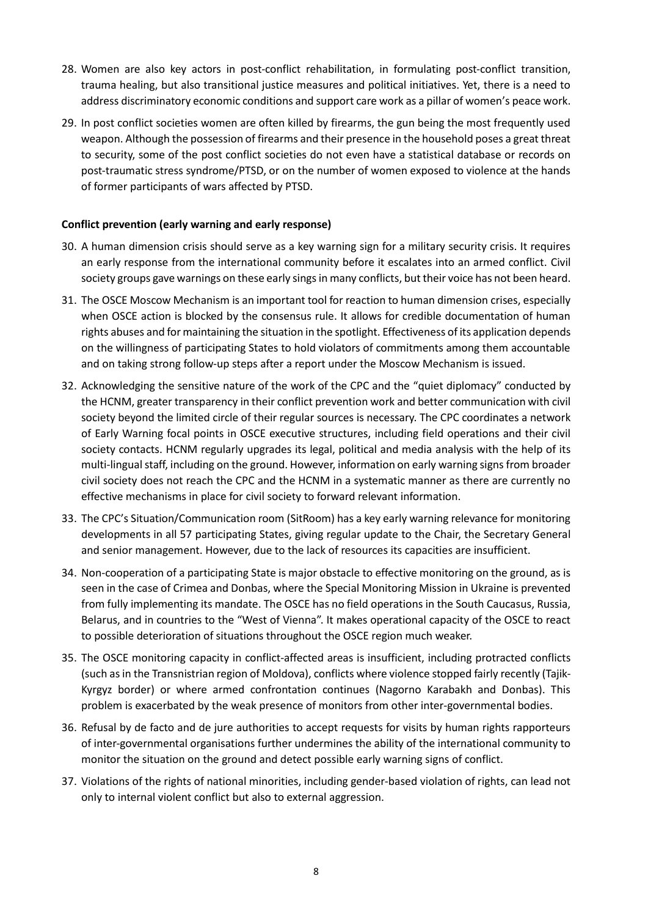- 28. Women are also key actors in post-conflict rehabilitation, in formulating post-conflict transition, trauma healing, but also transitional justice measures and political initiatives. Yet, there is a need to address discriminatory economic conditions and support care work as a pillar of women's peace work.
- 29. In post conflict societies women are often killed by firearms, the gun being the most frequently used weapon. Although the possession of firearms and their presence in the household poses a great threat to security, some of the post conflict societies do not even have a statistical database or records on post-traumatic stress syndrome/PTSD, or on the number of women exposed to violence at the hands of former participants of wars affected by PTSD.

### **Conflict prevention (early warning and early response)**

- 30. A human dimension crisis should serve as a key warning sign for a military security crisis. It requires an early response from the international community before it escalates into an armed conflict. Civil society groups gave warnings on these early sings in many conflicts, but their voice has not been heard.
- 31. The OSCE Moscow Mechanism is an important tool for reaction to human dimension crises, especially when OSCE action is blocked by the consensus rule. It allows for credible documentation of human rights abuses and for maintaining the situation in the spotlight. Effectiveness of its application depends on the willingness of participating States to hold violators of commitments among them accountable and on taking strong follow-up steps after a report under the Moscow Mechanism is issued.
- 32. Acknowledging the sensitive nature of the work of the CPC and the "quiet diplomacy" conducted by the HCNM, greater transparency in their conflict prevention work and better communication with civil society beyond the limited circle of their regular sources is necessary. The CPC coordinates a network of Early Warning focal points in OSCE executive structures, including field operations and their civil society contacts. HCNM regularly upgrades its legal, political and media analysis with the help of its multi-lingual staff, including on the ground. However, information on early warning signs from broader civil society does not reach the CPC and the HCNM in a systematic manner as there are currently no effective mechanisms in place for civil society to forward relevant information.
- 33. The CPC's Situation/Communication room (SitRoom) has a key early warning relevance for monitoring developments in all 57 participating States, giving regular update to the Chair, the Secretary General and senior management. However, due to the lack of resources its capacities are insufficient.
- 34. Non-cooperation of a participating State is major obstacle to effective monitoring on the ground, as is seen in the case of Crimea and Donbas, where the Special Monitoring Mission in Ukraine is prevented from fully implementing its mandate. The OSCE has no field operations in the South Caucasus, Russia, Belarus, and in countries to the "West of Vienna". It makes operational capacity of the OSCE to react to possible deterioration of situations throughout the OSCE region much weaker.
- 35. The OSCE monitoring capacity in conflict-affected areas is insufficient, including protracted conflicts (such as in the Transnistrian region of Moldova), conflicts where violence stopped fairly recently (Tajik-Kyrgyz border) or where armed confrontation continues (Nagorno Karabakh and Donbas). This problem is exacerbated by the weak presence of monitors from other inter-governmental bodies.
- 36. Refusal by de facto and de jure authorities to accept requests for visits by human rights rapporteurs of inter-governmental organisations further undermines the ability of the international community to monitor the situation on the ground and detect possible early warning signs of conflict.
- 37. Violations of the rights of national minorities, including gender-based violation of rights, can lead not only to internal violent conflict but also to external aggression.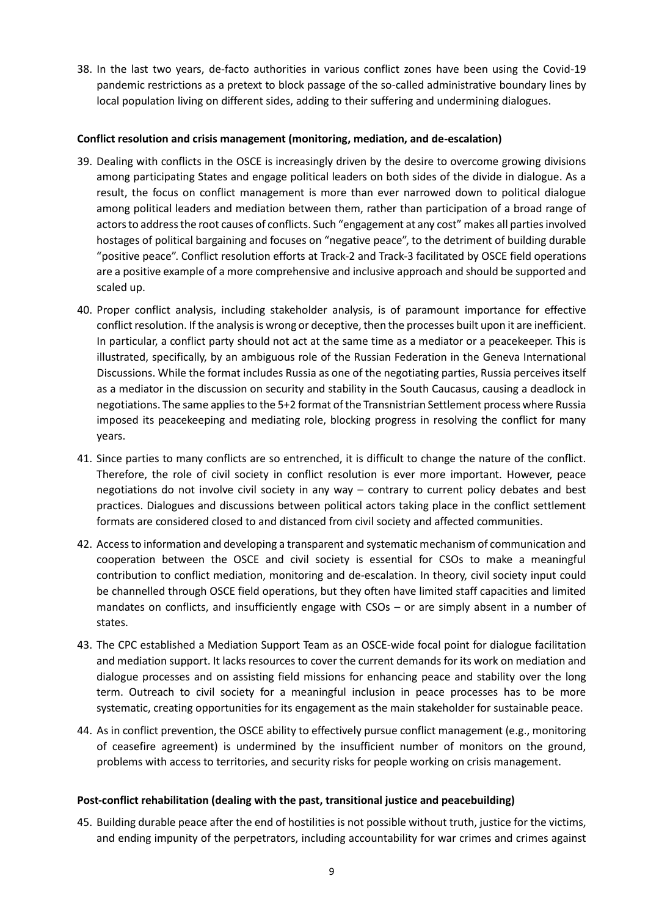38. In the last two years, de-facto authorities in various conflict zones have been using the Covid-19 pandemic restrictions as a pretext to block passage of the so-called administrative boundary lines by local population living on different sides, adding to their suffering and undermining dialogues.

#### **Conflict resolution and crisis management (monitoring, mediation, and de-escalation)**

- 39. Dealing with conflicts in the OSCE is increasingly driven by the desire to overcome growing divisions among participating States and engage political leaders on both sides of the divide in dialogue. As a result, the focus on conflict management is more than ever narrowed down to political dialogue among political leaders and mediation between them, rather than participation of a broad range of actors to address the root causes of conflicts. Such "engagement at any cost" makes all parties involved hostages of political bargaining and focuses on "negative peace", to the detriment of building durable "positive peace". Conflict resolution efforts at Track-2 and Track-3 facilitated by OSCE field operations are a positive example of a more comprehensive and inclusive approach and should be supported and scaled up.
- 40. Proper conflict analysis, including stakeholder analysis, is of paramount importance for effective conflict resolution. If the analysis is wrong or deceptive, then the processes built upon it are inefficient. In particular, a conflict party should not act at the same time as a mediator or a peacekeeper. This is illustrated, specifically, by an ambiguous role of the Russian Federation in the Geneva International Discussions. While the format includes Russia as one of the negotiating parties, Russia perceives itself as a mediator in the discussion on security and stability in the South Caucasus, causing a deadlock in negotiations. The same applies to the 5+2 format of the Transnistrian Settlement process where Russia imposed its peacekeeping and mediating role, blocking progress in resolving the conflict for many years.
- 41. Since parties to many conflicts are so entrenched, it is difficult to change the nature of the conflict. Therefore, the role of civil society in conflict resolution is ever more important. However, peace negotiations do not involve civil society in any way – contrary to current policy debates and best practices. Dialogues and discussions between political actors taking place in the conflict settlement formats are considered closed to and distanced from civil society and affected communities.
- 42. Access to information and developing a transparent and systematic mechanism of communication and cooperation between the OSCE and civil society is essential for CSOs to make a meaningful contribution to conflict mediation, monitoring and de-escalation. In theory, civil society input could be channelled through OSCE field operations, but they often have limited staff capacities and limited mandates on conflicts, and insufficiently engage with CSOs – or are simply absent in a number of states.
- 43. The CPC established a Mediation Support Team as an OSCE-wide focal point for dialogue facilitation and mediation support. It lacks resources to cover the current demands for its work on mediation and dialogue processes and on assisting field missions for enhancing peace and stability over the long term. Outreach to civil society for a meaningful inclusion in peace processes has to be more systematic, creating opportunities for its engagement as the main stakeholder for sustainable peace.
- 44. As in conflict prevention, the OSCE ability to effectively pursue conflict management (e.g., monitoring of ceasefire agreement) is undermined by the insufficient number of monitors on the ground, problems with access to territories, and security risks for people working on crisis management.

#### **Post-conflict rehabilitation (dealing with the past, transitional justice and peacebuilding)**

45. Building durable peace after the end of hostilities is not possible without truth, justice for the victims, and ending impunity of the perpetrators, including accountability for war crimes and crimes against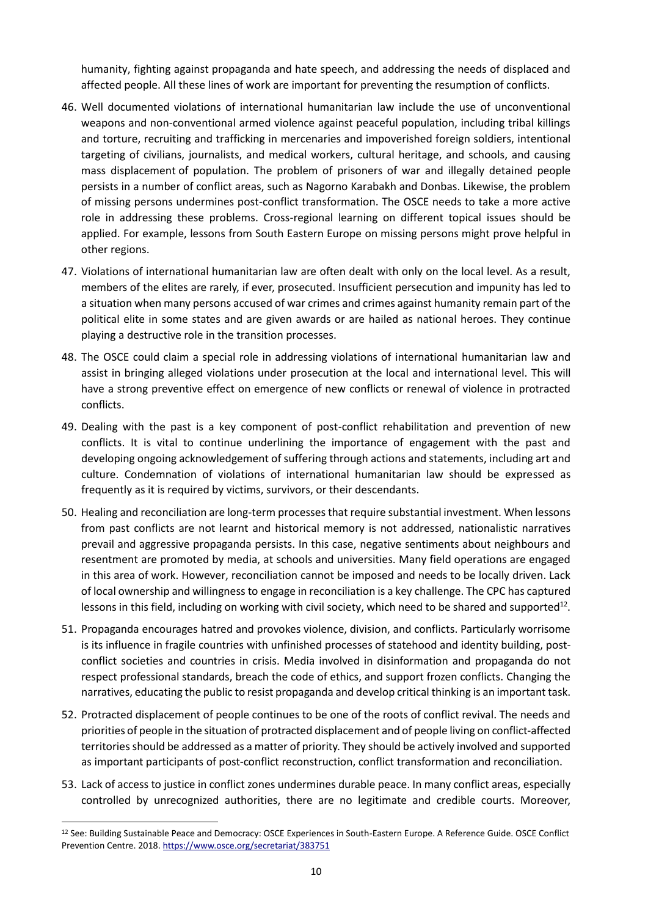humanity, fighting against propaganda and hate speech, and addressing the needs of displaced and affected people. All these lines of work are important for preventing the resumption of conflicts.

- 46. Well documented violations of international humanitarian law include the use of unconventional weapons and non-conventional armed violence against peaceful population, including tribal killings and torture, recruiting and trafficking in mercenaries and impoverished foreign soldiers, intentional targeting of civilians, journalists, and medical workers, cultural heritage, and schools, and causing mass displacement of population. The problem of prisoners of war and illegally detained people persists in a number of conflict areas, such as Nagorno Karabakh and Donbas. Likewise, the problem of missing persons undermines post-conflict transformation. The OSCE needs to take a more active role in addressing these problems. Cross-regional learning on different topical issues should be applied. For example, lessons from South Eastern Europe on missing persons might prove helpful in other regions.
- 47. Violations of international humanitarian law are often dealt with only on the local level. As a result, members of the elites are rarely, if ever, prosecuted. Insufficient persecution and impunity has led to a situation when many persons accused of war crimes and crimes against humanity remain part of the political elite in some states and are given awards or are hailed as national heroes. They continue playing a destructive role in the transition processes.
- 48. The OSCE could claim a special role in addressing violations of international humanitarian law and assist in bringing alleged violations under prosecution at the local and international level. This will have a strong preventive effect on emergence of new conflicts or renewal of violence in protracted conflicts.
- 49. Dealing with the past is a key component of post-conflict rehabilitation and prevention of new conflicts. It is vital to continue underlining the importance of engagement with the past and developing ongoing acknowledgement of suffering through actions and statements, including art and culture. Condemnation of violations of international humanitarian law should be expressed as frequently as it is required by victims, survivors, or their descendants.
- 50. Healing and reconciliation are long-term processes that require substantial investment. When lessons from past conflicts are not learnt and historical memory is not addressed, nationalistic narratives prevail and aggressive propaganda persists. In this case, negative sentiments about neighbours and resentment are promoted by media, at schools and universities. Many field operations are engaged in this area of work. However, reconciliation cannot be imposed and needs to be locally driven. Lack of local ownership and willingness to engage in reconciliation is a key challenge. The CPC has captured lessons in this field, including on working with civil society, which need to be shared and supported<sup>12</sup>.
- 51. Propaganda encourages hatred and provokes violence, division, and conflicts. Particularly worrisome is its influence in fragile countries with unfinished processes of statehood and identity building, postconflict societies and countries in crisis. Media involved in disinformation and propaganda do not respect professional standards, breach the code of ethics, and support frozen conflicts. Changing the narratives, educating the public to resist propaganda and develop critical thinking is an important task.
- 52. Protracted displacement of people continues to be one of the roots of conflict revival. The needs and priorities of people in the situation of protracted displacement and of people living on conflict-affected territories should be addressed as a matter of priority. They should be actively involved and supported as important participants of post-conflict reconstruction, conflict transformation and reconciliation.
- 53. Lack of access to justice in conflict zones undermines durable peace. In many conflict areas, especially controlled by unrecognized authorities, there are no legitimate and credible courts. Moreover,

-

<sup>12</sup> See: Building Sustainable Peace and Democracy: OSCE Experiences in South-Eastern Europe. A Reference Guide. OSCE Conflict Prevention Centre. 2018.<https://www.osce.org/secretariat/383751>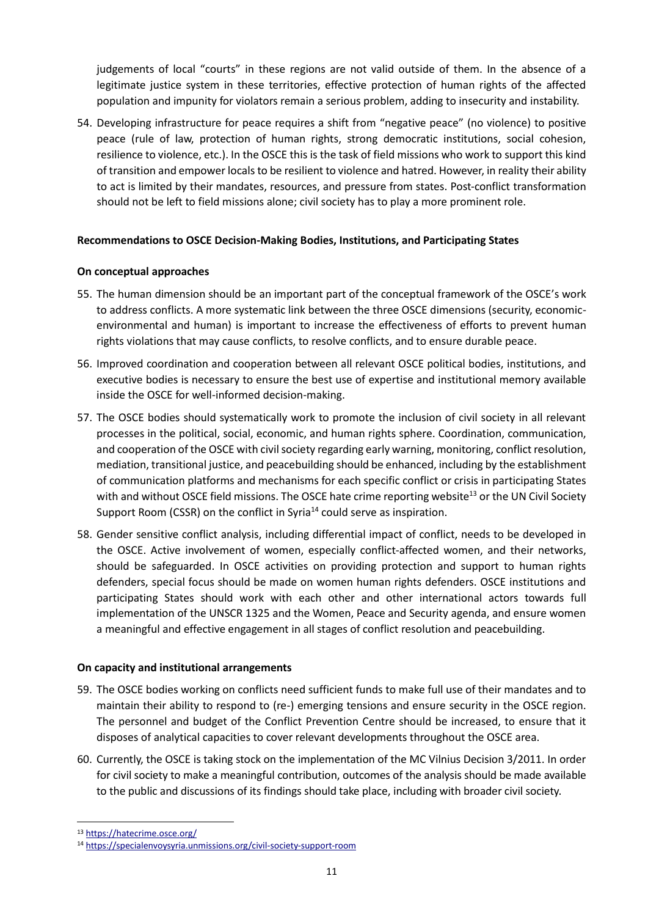judgements of local "courts" in these regions are not valid outside of them. In the absence of a legitimate justice system in these territories, effective protection of human rights of the affected population and impunity for violators remain a serious problem, adding to insecurity and instability.

54. Developing infrastructure for peace requires a shift from "negative peace" (no violence) to positive peace (rule of law, protection of human rights, strong democratic institutions, social cohesion, resilience to violence, etc.). In the OSCE this is the task of field missions who work to support this kind of transition and empower locals to be resilient to violence and hatred. However, in reality their ability to act is limited by their mandates, resources, and pressure from states. Post-conflict transformation should not be left to field missions alone; civil society has to play a more prominent role.

# **Recommendations to OSCE Decision-Making Bodies, Institutions, and Participating States**

#### **On conceptual approaches**

- 55. The human dimension should be an important part of the conceptual framework of the OSCE's work to address conflicts. A more systematic link between the three OSCE dimensions (security, economicenvironmental and human) is important to increase the effectiveness of efforts to prevent human rights violations that may cause conflicts, to resolve conflicts, and to ensure durable peace.
- 56. Improved coordination and cooperation between all relevant OSCE political bodies, institutions, and executive bodies is necessary to ensure the best use of expertise and institutional memory available inside the OSCE for well-informed decision-making.
- 57. The OSCE bodies should systematically work to promote the inclusion of civil society in all relevant processes in the political, social, economic, and human rights sphere. Coordination, communication, and cooperation of the OSCE with civil society regarding early warning, monitoring, conflict resolution, mediation, transitional justice, and peacebuilding should be enhanced, including by the establishment of communication platforms and mechanisms for each specific conflict or crisis in participating States with and without OSCE field missions. The OSCE hate crime reporting website<sup>13</sup> or the UN Civil Society Support Room (CSSR) on the conflict in Syria<sup>14</sup> could serve as inspiration.
- 58. Gender sensitive conflict analysis, including differential impact of conflict, needs to be developed in the OSCE. Active involvement of women, especially conflict-affected women, and their networks, should be safeguarded. In OSCE activities on providing protection and support to human rights defenders, special focus should be made on women human rights defenders. OSCE institutions and participating States should work with each other and other international actors towards full implementation of the UNSCR 1325 and the Women, Peace and Security agenda, and ensure women a meaningful and effective engagement in all stages of conflict resolution and peacebuilding.

#### **On capacity and institutional arrangements**

- 59. The OSCE bodies working on conflicts need sufficient funds to make full use of their mandates and to maintain their ability to respond to (re-) emerging tensions and ensure security in the OSCE region. The personnel and budget of the Conflict Prevention Centre should be increased, to ensure that it disposes of analytical capacities to cover relevant developments throughout the OSCE area.
- 60. Currently, the OSCE is taking stock on the implementation of the MC Vilnius Decision 3/2011. In order for civil society to make a meaningful contribution, outcomes of the analysis should be made available to the public and discussions of its findings should take place, including with broader civil society.

 $\overline{a}$ 

<sup>13</sup> <https://hatecrime.osce.org/>

<sup>14</sup> <https://specialenvoysyria.unmissions.org/civil-society-support-room>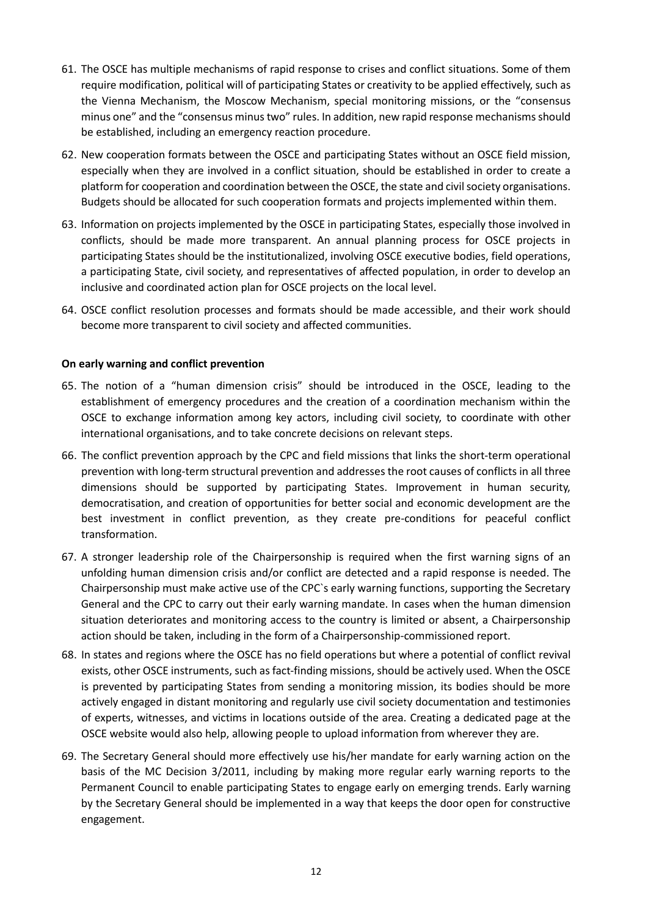- 61. The OSCE has multiple mechanisms of rapid response to crises and conflict situations. Some of them require modification, political will of participating States or creativity to be applied effectively, such as the Vienna Mechanism, the Moscow Mechanism, special monitoring missions, or the "consensus minus one" and the "consensus minus two" rules. In addition, new rapid response mechanisms should be established, including an emergency reaction procedure.
- 62. New cooperation formats between the OSCE and participating States without an OSCE field mission, especially when they are involved in a conflict situation, should be established in order to create a platform for cooperation and coordination between the OSCE, the state and civil society organisations. Budgets should be allocated for such cooperation formats and projects implemented within them.
- 63. Information on projects implemented by the OSCE in participating States, especially those involved in conflicts, should be made more transparent. An annual planning process for OSCE projects in participating States should be the institutionalized, involving OSCE executive bodies, field operations, a participating State, civil society, and representatives of affected population, in order to develop an inclusive and coordinated action plan for OSCE projects on the local level.
- 64. OSCE conflict resolution processes and formats should be made accessible, and their work should become more transparent to civil society and affected communities.

#### **On early warning and conflict prevention**

- 65. The notion of a "human dimension crisis" should be introduced in the OSCE, leading to the establishment of emergency procedures and the creation of a coordination mechanism within the OSCE to exchange information among key actors, including civil society, to coordinate with other international organisations, and to take concrete decisions on relevant steps.
- 66. The conflict prevention approach by the CPC and field missions that links the short-term operational prevention with long-term structural prevention and addresses the root causes of conflicts in all three dimensions should be supported by participating States. Improvement in human security, democratisation, and creation of opportunities for better social and economic development are the best investment in conflict prevention, as they create pre-conditions for peaceful conflict transformation.
- 67. A stronger leadership role of the Chairpersonship is required when the first warning signs of an unfolding human dimension crisis and/or conflict are detected and a rapid response is needed. The Chairpersonship must make active use of the CPC`s early warning functions, supporting the Secretary General and the CPC to carry out their early warning mandate. In cases when the human dimension situation deteriorates and monitoring access to the country is limited or absent, a Chairpersonship action should be taken, including in the form of a Chairpersonship-commissioned report.
- 68. In states and regions where the OSCE has no field operations but where a potential of conflict revival exists, other OSCE instruments, such as fact-finding missions, should be actively used. When the OSCE is prevented by participating States from sending a monitoring mission, its bodies should be more actively engaged in distant monitoring and regularly use civil society documentation and testimonies of experts, witnesses, and victims in locations outside of the area. Creating a dedicated page at the OSCE website would also help, allowing people to upload information from wherever they are.
- 69. The Secretary General should more effectively use his/her mandate for early warning action on the basis of the MC Decision 3/2011, including by making more regular early warning reports to the Permanent Council to enable participating States to engage early on emerging trends. Early warning by the Secretary General should be implemented in a way that keeps the door open for constructive engagement.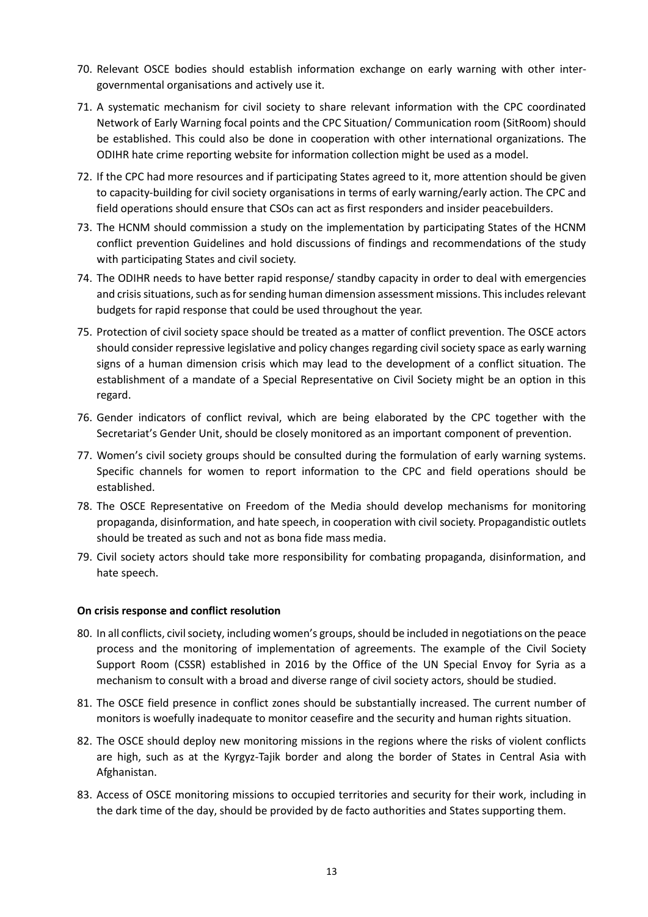- 70. Relevant OSCE bodies should establish information exchange on early warning with other intergovernmental organisations and actively use it.
- 71. A systematic mechanism for civil society to share relevant information with the CPC coordinated Network of Early Warning focal points and the CPC Situation/ Communication room (SitRoom) should be established. This could also be done in cooperation with other international organizations. The ODIHR hate crime reporting website for information collection might be used as a model.
- 72. If the CPC had more resources and if participating States agreed to it, more attention should be given to capacity-building for civil society organisations in terms of early warning/early action. The CPC and field operations should ensure that CSOs can act as first responders and insider peacebuilders.
- 73. The HCNM should commission a study on the implementation by participating States of the HCNM conflict prevention Guidelines and hold discussions of findings and recommendations of the study with participating States and civil society.
- 74. The ODIHR needs to have better rapid response/ standby capacity in order to deal with emergencies and crisis situations, such as for sending human dimension assessment missions. This includes relevant budgets for rapid response that could be used throughout the year.
- 75. Protection of civil society space should be treated as a matter of conflict prevention. The OSCE actors should consider repressive legislative and policy changes regarding civil society space as early warning signs of a human dimension crisis which may lead to the development of a conflict situation. The establishment of a mandate of a Special Representative on Civil Society might be an option in this regard.
- 76. Gender indicators of conflict revival, which are being elaborated by the CPC together with the Secretariat's Gender Unit, should be closely monitored as an important component of prevention.
- 77. Women's civil society groups should be consulted during the formulation of early warning systems. Specific channels for women to report information to the CPC and field operations should be established.
- 78. The OSCE Representative on Freedom of the Media should develop mechanisms for monitoring propaganda, disinformation, and hate speech, in cooperation with civil society. Propagandistic outlets should be treated as such and not as bona fide mass media.
- 79. Civil society actors should take more responsibility for combating propaganda, disinformation, and hate speech.

# **On crisis response and conflict resolution**

- 80. In all conflicts, civil society, including women's groups, should be included in negotiations on the peace process and the monitoring of implementation of agreements. The example of the Civil Society Support Room (CSSR) established in 2016 by the Office of the UN Special Envoy for Syria as a mechanism to consult with a broad and diverse range of civil society actors, should be studied.
- 81. The OSCE field presence in conflict zones should be substantially increased. The current number of monitors is woefully inadequate to monitor ceasefire and the security and human rights situation.
- 82. The OSCE should deploy new monitoring missions in the regions where the risks of violent conflicts are high, such as at the Kyrgyz-Tajik border and along the border of States in Central Asia with Afghanistan.
- 83. Access of OSCE monitoring missions to occupied territories and security for their work, including in the dark time of the day, should be provided by de facto authorities and States supporting them.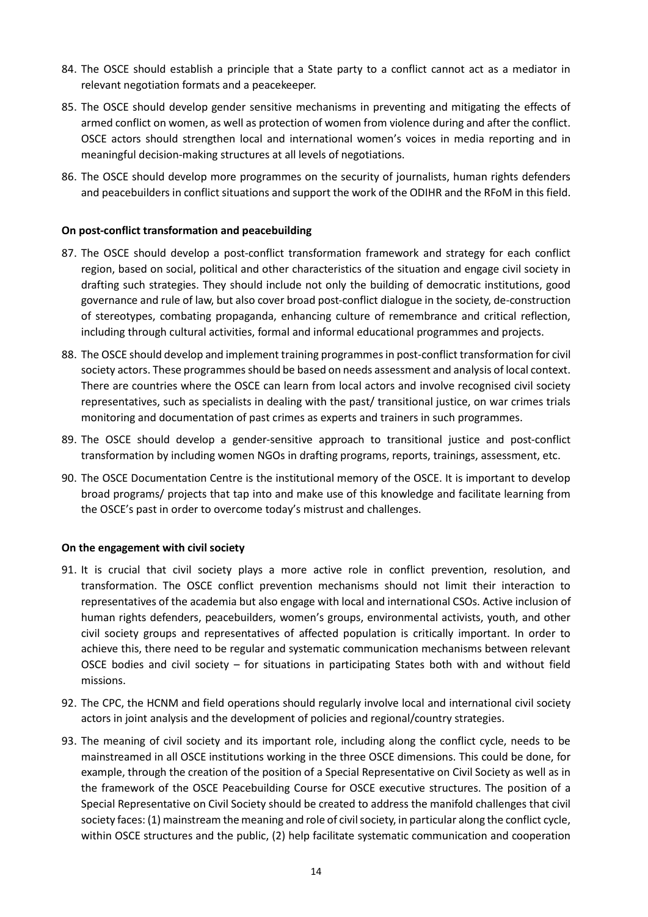- 84. The OSCE should establish a principle that a State party to a conflict cannot act as a mediator in relevant negotiation formats and a peacekeeper.
- 85. The OSCE should develop gender sensitive mechanisms in preventing and mitigating the effects of armed conflict on women, as well as protection of women from violence during and after the conflict. OSCE actors should strengthen local and international women's voices in media reporting and in meaningful decision-making structures at all levels of negotiations.
- 86. The OSCE should develop more programmes on the security of journalists, human rights defenders and peacebuilders in conflict situations and support the work of the ODIHR and the RFoM in this field.

#### **On post-conflict transformation and peacebuilding**

- 87. The OSCE should develop a post-conflict transformation framework and strategy for each conflict region, based on social, political and other characteristics of the situation and engage civil society in drafting such strategies. They should include not only the building of democratic institutions, good governance and rule of law, but also cover broad post-conflict dialogue in the society, de-construction of stereotypes, combating propaganda, enhancing culture of remembrance and critical reflection, including through cultural activities, formal and informal educational programmes and projects.
- 88. The OSCE should develop and implement training programmes in post-conflict transformation for civil society actors. These programmes should be based on needs assessment and analysis of local context. There are countries where the OSCE can learn from local actors and involve recognised civil society representatives, such as specialists in dealing with the past/ transitional justice, on war crimes trials monitoring and documentation of past crimes as experts and trainers in such programmes.
- 89. The OSCE should develop a gender-sensitive approach to transitional justice and post-conflict transformation by including women NGOs in drafting programs, reports, trainings, assessment, etc.
- 90. The OSCE Documentation Centre is the institutional memory of the OSCE. It is important to develop broad programs/ projects that tap into and make use of this knowledge and facilitate learning from the OSCE's past in order to overcome today's mistrust and challenges.

#### **On the engagement with civil society**

- 91. It is crucial that civil society plays a more active role in conflict prevention, resolution, and transformation. The OSCE conflict prevention mechanisms should not limit their interaction to representatives of the academia but also engage with local and international CSOs. Active inclusion of human rights defenders, peacebuilders, women's groups, environmental activists, youth, and other civil society groups and representatives of affected population is critically important. In order to achieve this, there need to be regular and systematic communication mechanisms between relevant OSCE bodies and civil society – for situations in participating States both with and without field missions.
- 92. The CPC, the HCNM and field operations should regularly involve local and international civil society actors in joint analysis and the development of policies and regional/country strategies.
- 93. The meaning of civil society and its important role, including along the conflict cycle, needs to be mainstreamed in all OSCE institutions working in the three OSCE dimensions. This could be done, for example, through the creation of the position of a Special Representative on Civil Society as well as in the framework of the OSCE Peacebuilding Course for OSCE executive structures. The position of a Special Representative on Civil Society should be created to address the manifold challenges that civil society faces: (1) mainstream the meaning and role of civil society, in particular along the conflict cycle, within OSCE structures and the public, (2) help facilitate systematic communication and cooperation